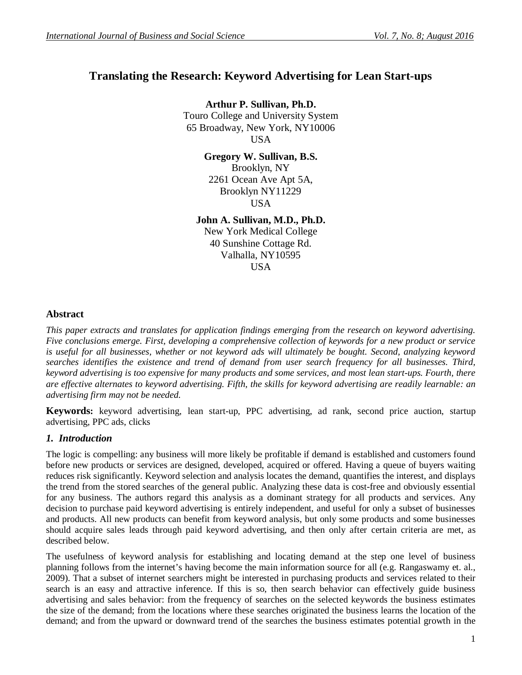# **Translating the Research: Keyword Advertising for Lean Start-ups**

**Arthur P. Sullivan, Ph.D.** Touro College and University System 65 Broadway, New York, NY10006 USA

> **Gregory W. Sullivan, B.S.** Brooklyn, NY 2261 Ocean Ave Apt 5A, Brooklyn NY11229 **USA**

**John A. Sullivan, M.D., Ph.D.**

New York Medical College 40 Sunshine Cottage Rd. Valhalla, NY10595 USA

# **Abstract**

*This paper extracts and translates for application findings emerging from the research on keyword advertising. Five conclusions emerge. First, developing a comprehensive collection of keywords for a new product or service is useful for all businesses, whether or not keyword ads will ultimately be bought. Second, analyzing keyword searches identifies the existence and trend of demand from user search frequency for all businesses. Third, keyword advertising is too expensive for many products and some services, and most lean start-ups. Fourth, there are effective alternates to keyword advertising. Fifth, the skills for keyword advertising are readily learnable: an advertising firm may not be needed.*

**Keywords:** keyword advertising, lean start-up, PPC advertising, ad rank, second price auction, startup advertising, PPC ads, clicks

# *1. Introduction*

The logic is compelling: any business will more likely be profitable if demand is established and customers found before new products or services are designed, developed, acquired or offered. Having a queue of buyers waiting reduces risk significantly. Keyword selection and analysis locates the demand, quantifies the interest, and displays the trend from the stored searches of the general public. Analyzing these data is cost-free and obviously essential for any business. The authors regard this analysis as a dominant strategy for all products and services. Any decision to purchase paid keyword advertising is entirely independent, and useful for only a subset of businesses and products. All new products can benefit from keyword analysis, but only some products and some businesses should acquire sales leads through paid keyword advertising, and then only after certain criteria are met, as described below.

The usefulness of keyword analysis for establishing and locating demand at the step one level of business planning follows from the internet's having become the main information source for all (e.g. Rangaswamy et. al., 2009). That a subset of internet searchers might be interested in purchasing products and services related to their search is an easy and attractive inference. If this is so, then search behavior can effectively guide business advertising and sales behavior: from the frequency of searches on the selected keywords the business estimates the size of the demand; from the locations where these searches originated the business learns the location of the demand; and from the upward or downward trend of the searches the business estimates potential growth in the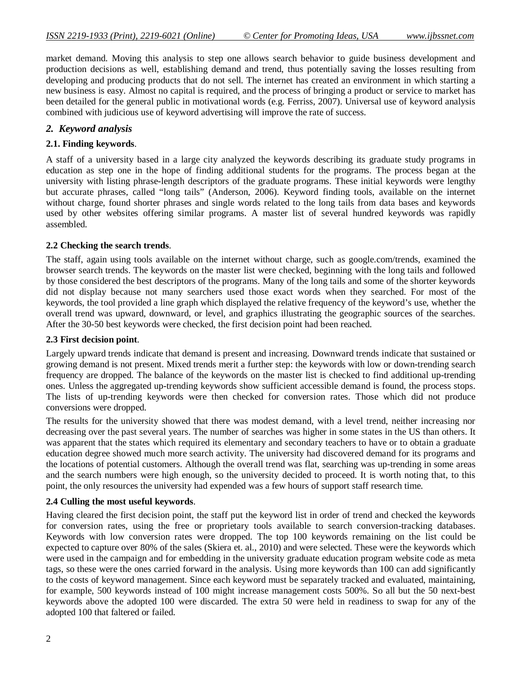market demand. Moving this analysis to step one allows search behavior to guide business development and production decisions as well, establishing demand and trend, thus potentially saving the losses resulting from developing and producing products that do not sell. The internet has created an environment in which starting a new business is easy. Almost no capital is required, and the process of bringing a product or service to market has been detailed for the general public in motivational words (e.g. Ferriss, 2007). Universal use of keyword analysis combined with judicious use of keyword advertising will improve the rate of success.

# *2. Keyword analysis*

# **2.1. Finding keywords**.

A staff of a university based in a large city analyzed the keywords describing its graduate study programs in education as step one in the hope of finding additional students for the programs. The process began at the university with listing phrase-length descriptors of the graduate programs. These initial keywords were lengthy but accurate phrases, called "long tails" (Anderson, 2006). Keyword finding tools, available on the internet without charge, found shorter phrases and single words related to the long tails from data bases and keywords used by other websites offering similar programs. A master list of several hundred keywords was rapidly assembled.

## **2.2 Checking the search trends**.

The staff, again using tools available on the internet without charge, such as google.com/trends, examined the browser search trends. The keywords on the master list were checked, beginning with the long tails and followed by those considered the best descriptors of the programs. Many of the long tails and some of the shorter keywords did not display because not many searchers used those exact words when they searched. For most of the keywords, the tool provided a line graph which displayed the relative frequency of the keyword's use, whether the overall trend was upward, downward, or level, and graphics illustrating the geographic sources of the searches. After the 30-50 best keywords were checked, the first decision point had been reached.

## **2.3 First decision point**.

Largely upward trends indicate that demand is present and increasing. Downward trends indicate that sustained or growing demand is not present. Mixed trends merit a further step: the keywords with low or down-trending search frequency are dropped. The balance of the keywords on the master list is checked to find additional up-trending ones. Unless the aggregated up-trending keywords show sufficient accessible demand is found, the process stops. The lists of up-trending keywords were then checked for conversion rates. Those which did not produce conversions were dropped.

The results for the university showed that there was modest demand, with a level trend, neither increasing nor decreasing over the past several years. The number of searches was higher in some states in the US than others. It was apparent that the states which required its elementary and secondary teachers to have or to obtain a graduate education degree showed much more search activity. The university had discovered demand for its programs and the locations of potential customers. Although the overall trend was flat, searching was up-trending in some areas and the search numbers were high enough, so the university decided to proceed. It is worth noting that, to this point, the only resources the university had expended was a few hours of support staff research time.

## **2.4 Culling the most useful keywords**.

Having cleared the first decision point, the staff put the keyword list in order of trend and checked the keywords for conversion rates, using the free or proprietary tools available to search conversion-tracking databases. Keywords with low conversion rates were dropped. The top 100 keywords remaining on the list could be expected to capture over 80% of the sales (Skiera et. al., 2010) and were selected. These were the keywords which were used in the campaign and for embedding in the university graduate education program website code as meta tags, so these were the ones carried forward in the analysis. Using more keywords than 100 can add significantly to the costs of keyword management. Since each keyword must be separately tracked and evaluated, maintaining, for example, 500 keywords instead of 100 might increase management costs 500%. So all but the 50 next-best keywords above the adopted 100 were discarded. The extra 50 were held in readiness to swap for any of the adopted 100 that faltered or failed.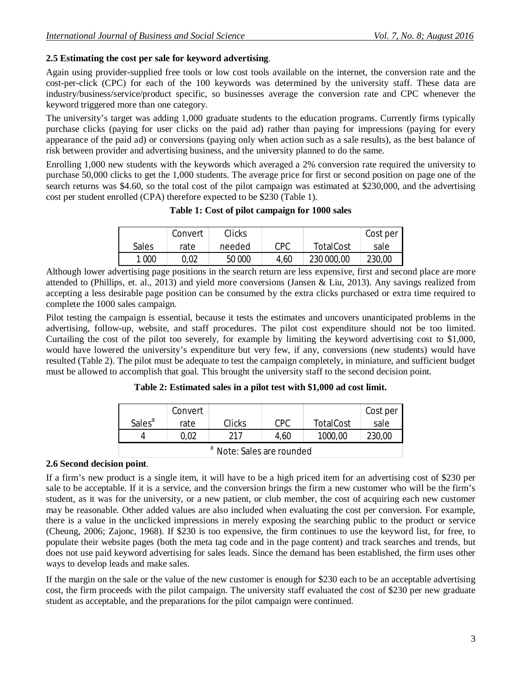# **2.5 Estimating the cost per sale for keyword advertising**.

Again using provider-supplied free tools or low cost tools available on the internet, the conversion rate and the cost-per-click (CPC) for each of the 100 keywords was determined by the university staff. These data are industry/business/service/product specific, so businesses average the conversion rate and CPC whenever the keyword triggered more than one category.

The university's target was adding 1,000 graduate students to the education programs. Currently firms typically purchase clicks (paying for user clicks on the paid ad) rather than paying for impressions (paying for every appearance of the paid ad) or conversions (paying only when action such as a sale results), as the best balance of risk between provider and advertising business, and the university planned to do the same.

Enrolling 1,000 new students with the keywords which averaged a 2% conversion rate required the university to purchase 50,000 clicks to get the 1,000 students. The average price for first or second position on page one of the search returns was \$4.60, so the total cost of the pilot campaign was estimated at \$230,000, and the advertising cost per student enrolled (CPA) therefore expected to be \$230 (Table 1).

## **Table 1: Cost of pilot campaign for 1000 sales**

|         | Convert | Clicks |            |                  | Cost per |
|---------|---------|--------|------------|------------------|----------|
| Sales   | rate    | needed | <b>CPC</b> | <b>TotalCost</b> | sale     |
| 1 0 0 0 | 0,02    | 50 000 | 4,60       | 230 000,00       | 230,00   |

Although lower advertising page positions in the search return are less expensive, first and second place are more attended to (Phillips, et. al., 2013) and yield more conversions (Jansen & Liu, 2013). Any savings realized from accepting a less desirable page position can be consumed by the extra clicks purchased or extra time required to complete the 1000 sales campaign.

Pilot testing the campaign is essential, because it tests the estimates and uncovers unanticipated problems in the advertising, follow-up, website, and staff procedures. The pilot cost expenditure should not be too limited. Curtailing the cost of the pilot too severely, for example by limiting the keyword advertising cost to \$1,000, would have lowered the university's expenditure but very few, if any, conversions (new students) would have resulted (Table 2). The pilot must be adequate to test the campaign completely, in miniature, and sufficient budget must be allowed to accomplish that goal. This brought the university staff to the second decision point.

**Table 2: Estimated sales in a pilot test with \$1,000 ad cost limit.**

|                                      | Convert |        |      |                  | Cost per |  |  |  |
|--------------------------------------|---------|--------|------|------------------|----------|--|--|--|
| Sales <sup>a</sup>                   | rate    | Clicks | CPC. | <b>TotalCost</b> | sale     |  |  |  |
| Δ                                    | 0.02    | 217    | 4,60 | 1000,00          | 230,00   |  |  |  |
| <sup>a</sup> Note: Sales are rounded |         |        |      |                  |          |  |  |  |

# **2.6 Second decision point**.

If a firm's new product is a single item, it will have to be a high priced item for an advertising cost of \$230 per sale to be acceptable. If it is a service, and the conversion brings the firm a new customer who will be the firm's student, as it was for the university, or a new patient, or club member, the cost of acquiring each new customer may be reasonable. Other added values are also included when evaluating the cost per conversion. For example, there is a value in the unclicked impressions in merely exposing the searching public to the product or service (Cheung, 2006; Zajonc, 1968). If \$230 is too expensive, the firm continues to use the keyword list, for free, to populate their website pages (both the meta tag code and in the page content) and track searches and trends, but does not use paid keyword advertising for sales leads. Since the demand has been established, the firm uses other ways to develop leads and make sales.

If the margin on the sale or the value of the new customer is enough for \$230 each to be an acceptable advertising cost, the firm proceeds with the pilot campaign. The university staff evaluated the cost of \$230 per new graduate student as acceptable, and the preparations for the pilot campaign were continued.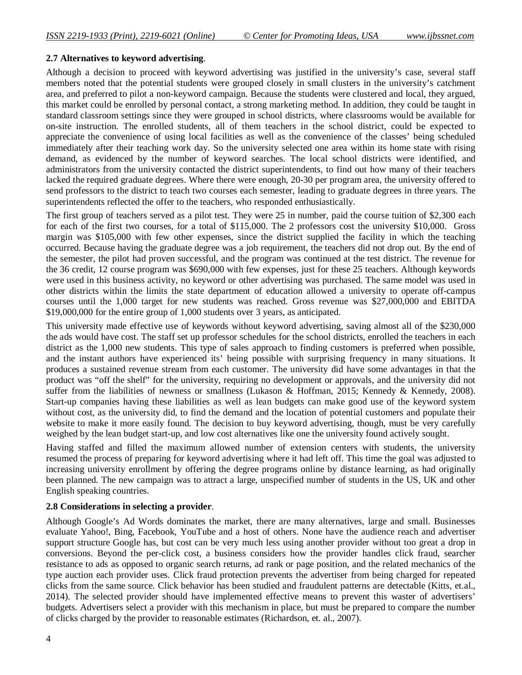## **2.7 Alternatives to keyword advertising**.

Although a decision to proceed with keyword advertising was justified in the university's case, several staff members noted that the potential students were grouped closely in small clusters in the university's catchment area, and preferred to pilot a non-keyword campaign. Because the students were clustered and local, they argued, this market could be enrolled by personal contact, a strong marketing method. In addition, they could be taught in standard classroom settings since they were grouped in school districts, where classrooms would be available for on-site instruction. The enrolled students, all of them teachers in the school district, could be expected to appreciate the convenience of using local facilities as well as the convenience of the classes' being scheduled immediately after their teaching work day. So the university selected one area within its home state with rising demand, as evidenced by the number of keyword searches. The local school districts were identified, and administrators from the university contacted the district superintendents, to find out how many of their teachers lacked the required graduate degrees. Where there were enough, 20-30 per program area, the university offered to send professors to the district to teach two courses each semester, leading to graduate degrees in three years. The superintendents reflected the offer to the teachers, who responded enthusiastically.

The first group of teachers served as a pilot test. They were 25 in number, paid the course tuition of \$2,300 each for each of the first two courses, for a total of \$115,000. The 2 professors cost the university \$10,000. Gross margin was \$105,000 with few other expenses, since the district supplied the facility in which the teaching occurred. Because having the graduate degree was a job requirement, the teachers did not drop out. By the end of the semester, the pilot had proven successful, and the program was continued at the test district. The revenue for the 36 credit, 12 course program was \$690,000 with few expenses, just for these 25 teachers. Although keywords were used in this business activity, no keyword or other advertising was purchased. The same model was used in other districts within the limits the state department of education allowed a university to operate off-campus courses until the 1,000 target for new students was reached. Gross revenue was \$27,000,000 and EBITDA \$19,000,000 for the entire group of 1,000 students over 3 years, as anticipated.

This university made effective use of keywords without keyword advertising, saving almost all of the \$230,000 the ads would have cost. The staff set up professor schedules for the school districts, enrolled the teachers in each district as the 1,000 new students. This type of sales approach to finding customers is preferred when possible, and the instant authors have experienced its' being possible with surprising frequency in many situations. It produces a sustained revenue stream from each customer. The university did have some advantages in that the product was "off the shelf" for the university, requiring no development or approvals, and the university did not suffer from the liabilities of newness or smallness (Lukason & Hoffman, 2015; Kennedy & Kennedy, 2008). Start-up companies having these liabilities as well as lean budgets can make good use of the keyword system without cost, as the university did, to find the demand and the location of potential customers and populate their website to make it more easily found. The decision to buy keyword advertising, though, must be very carefully weighed by the lean budget start-up, and low cost alternatives like one the university found actively sought.

Having staffed and filled the maximum allowed number of extension centers with students, the university resumed the process of preparing for keyword advertising where it had left off. This time the goal was adjusted to increasing university enrollment by offering the degree programs online by distance learning, as had originally been planned. The new campaign was to attract a large, unspecified number of students in the US, UK and other English speaking countries.

## **2.8 Considerations in selecting a provider**.

Although Google's Ad Words dominates the market, there are many alternatives, large and small. Businesses evaluate Yahoo!, Bing, Facebook, YouTube and a host of others. None have the audience reach and advertiser support structure Google has, but cost can be very much less using another provider without too great a drop in conversions. Beyond the per-click cost, a business considers how the provider handles click fraud, searcher resistance to ads as opposed to organic search returns, ad rank or page position, and the related mechanics of the type auction each provider uses. Click fraud protection prevents the advertiser from being charged for repeated clicks from the same source. Click behavior has been studied and fraudulent patterns are detectable (Kitts, et.al., 2014). The selected provider should have implemented effective means to prevent this waster of advertisers' budgets. Advertisers select a provider with this mechanism in place, but must be prepared to compare the number of clicks charged by the provider to reasonable estimates (Richardson, et. al., 2007).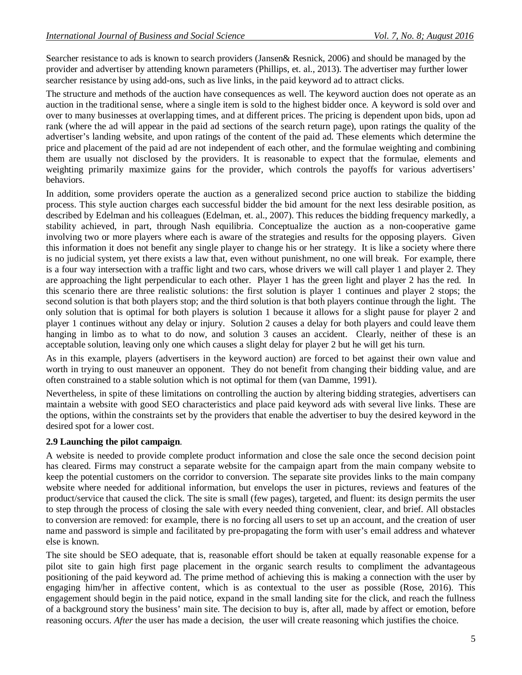Searcher resistance to ads is known to search providers (Jansen& Resnick, 2006) and should be managed by the provider and advertiser by attending known parameters (Phillips, et. al., 2013). The advertiser may further lower searcher resistance by using add-ons, such as live links, in the paid keyword ad to attract clicks.

The structure and methods of the auction have consequences as well. The keyword auction does not operate as an auction in the traditional sense, where a single item is sold to the highest bidder once. A keyword is sold over and over to many businesses at overlapping times, and at different prices. The pricing is dependent upon bids, upon ad rank (where the ad will appear in the paid ad sections of the search return page), upon ratings the quality of the advertiser's landing website, and upon ratings of the content of the paid ad. These elements which determine the price and placement of the paid ad are not independent of each other, and the formulae weighting and combining them are usually not disclosed by the providers. It is reasonable to expect that the formulae, elements and weighting primarily maximize gains for the provider, which controls the payoffs for various advertisers' behaviors.

In addition, some providers operate the auction as a generalized second price auction to stabilize the bidding process. This style auction charges each successful bidder the bid amount for the next less desirable position, as described by Edelman and his colleagues (Edelman, et. al., 2007). This reduces the bidding frequency markedly, a stability achieved, in part, through Nash equilibria. Conceptualize the auction as a non-cooperative game involving two or more players where each is aware of the strategies and results for the opposing players. Given this information it does not benefit any single player to change his or her strategy. It is like a society where there is no judicial system, yet there exists a law that, even without punishment, no one will break. For example, there is a four way intersection with a traffic light and two cars, whose drivers we will call player 1 and player 2. They are approaching the light perpendicular to each other. Player 1 has the green light and player 2 has the red. In this scenario there are three realistic solutions: the first solution is player 1 continues and player 2 stops; the second solution is that both players stop; and the third solution is that both players continue through the light. The only solution that is optimal for both players is solution 1 because it allows for a slight pause for player 2 and player 1 continues without any delay or injury. Solution 2 causes a delay for both players and could leave them hanging in limbo as to what to do now, and solution 3 causes an accident. Clearly, neither of these is an acceptable solution, leaving only one which causes a slight delay for player 2 but he will get his turn.

As in this example, players (advertisers in the keyword auction) are forced to bet against their own value and worth in trying to oust maneuver an opponent. They do not benefit from changing their bidding value, and are often constrained to a stable solution which is not optimal for them (van Damme, 1991).

Nevertheless, in spite of these limitations on controlling the auction by altering bidding strategies, advertisers can maintain a website with good SEO characteristics and place paid keyword ads with several live links. These are the options, within the constraints set by the providers that enable the advertiser to buy the desired keyword in the desired spot for a lower cost.

# **2.9 Launching the pilot campaign**.

A website is needed to provide complete product information and close the sale once the second decision point has cleared. Firms may construct a separate website for the campaign apart from the main company website to keep the potential customers on the corridor to conversion. The separate site provides links to the main company website where needed for additional information, but envelops the user in pictures, reviews and features of the product/service that caused the click. The site is small (few pages), targeted, and fluent: its design permits the user to step through the process of closing the sale with every needed thing convenient, clear, and brief. All obstacles to conversion are removed: for example, there is no forcing all users to set up an account, and the creation of user name and password is simple and facilitated by pre-propagating the form with user's email address and whatever else is known.

The site should be SEO adequate, that is, reasonable effort should be taken at equally reasonable expense for a pilot site to gain high first page placement in the organic search results to compliment the advantageous positioning of the paid keyword ad. The prime method of achieving this is making a connection with the user by engaging him/her in affective content, which is as contextual to the user as possible (Rose, 2016). This engagement should begin in the paid notice, expand in the small landing site for the click, and reach the fullness of a background story the business' main site. The decision to buy is, after all, made by affect or emotion, before reasoning occurs. *After* the user has made a decision, the user will create reasoning which justifies the choice.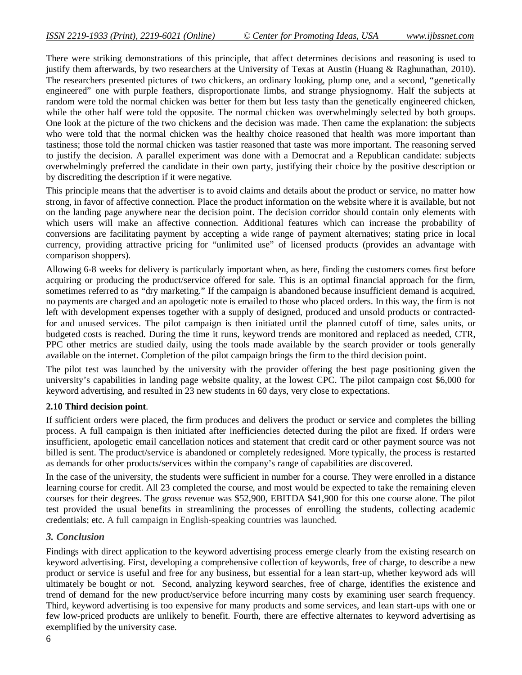There were striking demonstrations of this principle, that affect determines decisions and reasoning is used to justify them afterwards, by two researchers at the University of Texas at Austin (Huang & Raghunathan, 2010). The researchers presented pictures of two chickens, an ordinary looking, plump one, and a second, "genetically engineered" one with purple feathers, disproportionate limbs, and strange physiognomy. Half the subjects at random were told the normal chicken was better for them but less tasty than the genetically engineered chicken, while the other half were told the opposite. The normal chicken was overwhelmingly selected by both groups. One look at the picture of the two chickens and the decision was made. Then came the explanation: the subjects who were told that the normal chicken was the healthy choice reasoned that health was more important than tastiness; those told the normal chicken was tastier reasoned that taste was more important. The reasoning served to justify the decision. A parallel experiment was done with a Democrat and a Republican candidate: subjects overwhelmingly preferred the candidate in their own party, justifying their choice by the positive description or by discrediting the description if it were negative.

This principle means that the advertiser is to avoid claims and details about the product or service, no matter how strong, in favor of affective connection. Place the product information on the website where it is available, but not on the landing page anywhere near the decision point. The decision corridor should contain only elements with which users will make an affective connection. Additional features which can increase the probability of conversions are facilitating payment by accepting a wide range of payment alternatives; stating price in local currency, providing attractive pricing for "unlimited use" of licensed products (provides an advantage with comparison shoppers).

Allowing 6-8 weeks for delivery is particularly important when, as here, finding the customers comes first before acquiring or producing the product/service offered for sale. This is an optimal financial approach for the firm, sometimes referred to as "dry marketing." If the campaign is abandoned because insufficient demand is acquired, no payments are charged and an apologetic note is emailed to those who placed orders. In this way, the firm is not left with development expenses together with a supply of designed, produced and unsold products or contractedfor and unused services. The pilot campaign is then initiated until the planned cutoff of time, sales units, or budgeted costs is reached. During the time it runs, keyword trends are monitored and replaced as needed, CTR, PPC other metrics are studied daily, using the tools made available by the search provider or tools generally available on the internet. Completion of the pilot campaign brings the firm to the third decision point.

The pilot test was launched by the university with the provider offering the best page positioning given the university's capabilities in landing page website quality, at the lowest CPC. The pilot campaign cost \$6,000 for keyword advertising, and resulted in 23 new students in 60 days, very close to expectations.

## **2.10 Third decision point**.

If sufficient orders were placed, the firm produces and delivers the product or service and completes the billing process. A full campaign is then initiated after inefficiencies detected during the pilot are fixed. If orders were insufficient, apologetic email cancellation notices and statement that credit card or other payment source was not billed is sent. The product/service is abandoned or completely redesigned. More typically, the process is restarted as demands for other products/services within the company's range of capabilities are discovered.

In the case of the university, the students were sufficient in number for a course. They were enrolled in a distance learning course for credit. All 23 completed the course, and most would be expected to take the remaining eleven courses for their degrees. The gross revenue was \$52,900, EBITDA \$41,900 for this one course alone. The pilot test provided the usual benefits in streamlining the processes of enrolling the students, collecting academic credentials; etc. A full campaign in English-speaking countries was launched.

## *3. Conclusion*

Findings with direct application to the keyword advertising process emerge clearly from the existing research on keyword advertising. First, developing a comprehensive collection of keywords, free of charge, to describe a new product or service is useful and free for any business, but essential for a lean start-up, whether keyword ads will ultimately be bought or not. Second, analyzing keyword searches, free of charge, identifies the existence and trend of demand for the new product/service before incurring many costs by examining user search frequency. Third, keyword advertising is too expensive for many products and some services, and lean start-ups with one or few low-priced products are unlikely to benefit. Fourth, there are effective alternates to keyword advertising as exemplified by the university case.